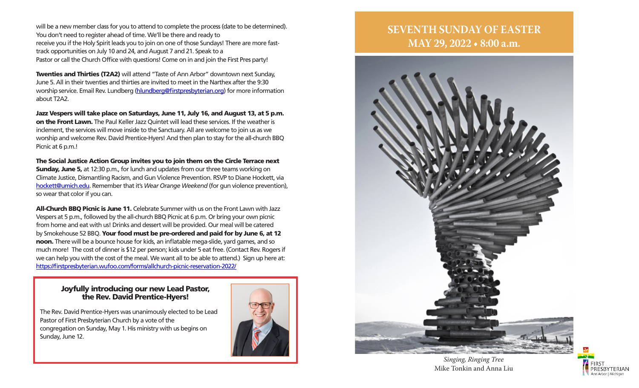will be a new member class for you to attend to complete the process (date to be determined). You don't need to register ahead of time. We'll be there and ready to receive you if the Holy Spirit leads you to join on one of those Sundays! There are more fasttrack opportunities on July 10 and 24, and August 7 and 21. Speak to a Pastor or call the Church Office with questions! Come on in and join the First Pres party!

Twenties and Thirties (T2A2) will attend "Taste of Ann Arbor" downtown next Sunday, June 5. All in their twenties and thirties are invited to meet in the Narthex after the 9:30 worship service. Email Rev. Lundberg (hlundberg@firstpresbyterian.org) for more information about T2A2.

Jazz Vespers will take place on Saturdays, June 11, July 16, and August 13, at 5 p.m. on the Front Lawn. The Paul Keller Jazz Quintet will lead these services. If the weather is inclement, the services will move inside to the Sanctuary. All are welcome to join us as we worship and welcome Rev. David Prentice-Hyers! And then plan to stay for the all-church BBQ Picnic at 6 p.m.!

The Social Justice Action Group invites you to join them on the Circle Terrace next **Sunday, June 5,** at 12:30 p.m., for lunch and updates from our three teams working on Climate Justice, Dismantling Racism, and Gun Violence Prevention. RSVP to Diane Hockett, via hockett@umich.edu. Remember that it's *Wear Orange Weekend* (for gun violence prevention), so wear that color if you can.

All-Church BBQ Picnic is June 11. Celebrate Summer with us on the Front Lawn with Jazz Vespers at 5 p.m., followed by the all-church BBQ Picnic at 6 p.m. Or bring your own picnic from home and eat with us! Drinks and dessert will be provided. Our meal will be catered by Smokehouse 52 BBQ. Your food must be pre-ordered and paid for by June 6, at 12 noon. There will be a bounce house for kids, an inflatable mega-slide, yard games, and so much more! The cost of dinner is \$12 per person; kids under 5 eat free. (Contact Rev. Rogers if we can help you with the cost of the meal. We want all to be able to attend.) Sign up here at: https://firstpresbyterian.wufoo.com/forms/allchurch-picnic-reservation-2022/

### Joyfully introducing our new Lead Pastor, the Rev. David Prentice-Hyers!

The Rev. David Prentice-Hyers was unanimously elected to be Lead Pastor of First Presbyterian Church by a vote of the congregation on Sunday, May 1. His ministry with us begins on Sunday, June 12.



# **SEVENTH SUNDAY OF EASTER MAY 29, 2022 • 8:00 a.m.**



*Singing, Ringing Tree* Mike Tonkin and Anna Liu

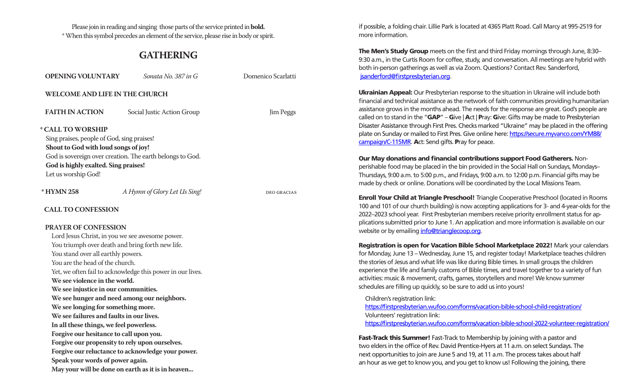Please join in reading and singing those parts of the service printed in **bold.**  \* When this symbol precedes an element of the service, please rise in body or spirit.

### **GATHERING**

| <b>OPENING VOLUNTARY</b>                                                                                                                                                                                                                                                                                                                                                                                                                                                                                                                                                                                                                               | Sonata No. 387 in G                                                                                             | Domenico Scarlatti |
|--------------------------------------------------------------------------------------------------------------------------------------------------------------------------------------------------------------------------------------------------------------------------------------------------------------------------------------------------------------------------------------------------------------------------------------------------------------------------------------------------------------------------------------------------------------------------------------------------------------------------------------------------------|-----------------------------------------------------------------------------------------------------------------|--------------------|
| WELCOME AND LIFE IN THE CHURCH                                                                                                                                                                                                                                                                                                                                                                                                                                                                                                                                                                                                                         |                                                                                                                 |                    |
| <b>FAITH IN ACTION</b>                                                                                                                                                                                                                                                                                                                                                                                                                                                                                                                                                                                                                                 | Social Justic Action Group                                                                                      | Jim Peggs          |
| * CALL TO WORSHIP<br>Sing praises, people of God, sing praises!<br>Shout to God with loud songs of joy!<br>God is highly exalted. Sing praises!<br>Let us worship God!                                                                                                                                                                                                                                                                                                                                                                                                                                                                                 | God is sovereign over creation. The earth belongs to God.                                                       |                    |
| * HYMN 258                                                                                                                                                                                                                                                                                                                                                                                                                                                                                                                                                                                                                                             | A Hymn of Glory Let Us Sing!                                                                                    | <b>DEO GRACIAS</b> |
| <b>CALL TO CONFESSION</b>                                                                                                                                                                                                                                                                                                                                                                                                                                                                                                                                                                                                                              |                                                                                                                 |                    |
| <b>PRAYER OF CONFESSION</b><br>Lord Jesus Christ, in you we see awesome power.<br>You triumph over death and bring forth new life.<br>You stand over all earthly powers.<br>You are the head of the church.<br>We see violence in the world.<br>We see injustice in our communities.<br>We see hunger and need among our neighbors.<br>We see longing for something more.<br>We see failures and faults in our lives.<br>In all these things, we feel powerless.<br>Forgive our hesitance to call upon you.<br>Forgive our propensity to rely upon ourselves.<br>Speak your words of power again.<br>May your will be done on earth as it is in heaven | Yet, we often fail to acknowledge this power in our lives.<br>Forgive our reluctance to acknowledge your power. |                    |

if possible, a folding chair. Lillie Park is located at 4365 Platt Road. Call Marcy at 995-2519 for more information.

The Men's Study Group meets on the first and third Friday mornings through June, 8:30– 9:30 a.m., in the Curtis Room for coffee, study, and conversation. All meetings are hybrid with both in-person gatherings as well as via Zoom. Questions? Contact Rev. Sanderford, jsanderford@firstpresbyterian.org.

Ukrainian Appeal: Our Presbyterian response to the situation in Ukraine will include both financial and technical assistance as the network of faith communities providing humanitarian assistance grows in the months ahead. The needs for the response are great. God's people are called on to stand in the " $GAP'' - G$ ive | Act | Pray: Give: Gifts may be made to Presbyterian Disaster Assistance through First Pres. Checks marked "Ukraine" may be placed in the offering plate on Sunday or mailed to First Pres. Give online here: https://secure.myvanco.com/YM88/ campaign/C-115MR. Act: Send gifts. Pray for peace.

Our May donations and financial contributions support Food Gatherers. Nonperishable food may be placed in the bin provided in the Social Hall on Sundays, Mondays– Thursdays, 9:00 a.m. to 5:00 p.m., and Fridays, 9:00 a.m. to 12:00 p.m. Financial gifts may be made by check or online. Donations will be coordinated by the Local Missions Team.

Enroll Your Child at Triangle Preschool! Triangle Cooperative Preschool (located in Rooms 100 and 101 of our church building) is now accepting applications for 3- and 4-year-olds for the 2022–2023 school year. First Presbyterian members receive priority enrollment status for applications submitted prior to June 1. An application and more information is available on our website or by emailing info@trianglecoop.org.

Registration is open for Vacation Bible School Marketplace 2022! Mark your calendars for Monday, June 13 – Wednesday, June 15, and register today! Marketplace teaches children the stories of Jesus and what life was like during Bible times. In small groups the children experience the life and family customs of Bible times, and travel together to a variety of fun activities: music & movement, crafts, games, storytellers and more! We know summer schedules are filling up quickly, so be sure to add us into yours!

Children's registration link: https://firstpresbyterian.wufoo.com/forms/vacation-bible-school-child-registration/ Volunteers' registration link: https://firstpresbyterian.wufoo.com/forms/vacation-bible-school-2022-volunteer-registration/

Fast-Track this Summer! Fast-Track to Membership by joining with a pastor and two elders in the office of Rev. David Prentice-Hyers at 11 a.m. on select Sundays. The next opportunities to join are June 5 and 19, at 11 a.m. The process takes about half an hour as we get to know you, and you get to know us! Following the joining, there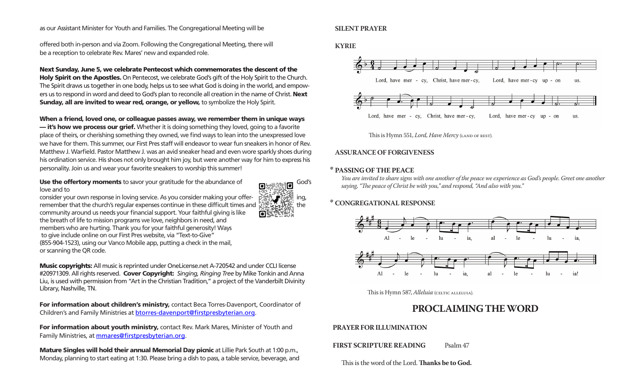#### as our Assistant Minister for Youth and Families. The Congregational Meeting will be

offered both in-person and via Zoom. Following the Congregational Meeting, there will be a reception to celebrate Rev. Mares' new and expanded role.

Next Sunday, June 5, we celebrate Pentecost which commemorates the descent of the Holy Spirit on the Apostles. On Pentecost, we celebrate God's gift of the Holy Spirit to the Church. The Spirit draws us together in one body, helps us to see what God is doing in the world, and empowers us to respond in word and deed to God's plan to reconcile all creation in the name of Christ. Next Sunday, all are invited to wear red, orange, or yellow, to symbolize the Holy Spirit.

When a friend, loved one, or colleague passes away, we remember them in unique ways — it's how we process our grief. Whether it is doing something they loved, going to a favorite place of theirs, or cherishing something they owned, we find ways to lean into the unexpressed love we have for them. This summer, our First Pres staff will endeavor to wear fun sneakers in honor of Rev. Matthew J. Warfield. Pastor Matthew J. was an avid sneaker head and even wore sparkly shoes during his ordination service. His shoes not only brought him joy, but were another way for him to express his personality. Join us and wear your favorite sneakers to worship this summer!

o

Use the offertory moments to savor your gratitude for the abundance of God's love and to

consider your own response in loving service. As you consider making your offer-  $\mathbb{R}$   $\mathbb{R}$   $\mathbb{R}$  ing, remember that the church's regular expenses continue in these difficult times and  $\mathbb{CP}$ .  $\mathbb{CP}$ , the community around us needs your financial support. Your faithful giving is like the breath of life to mission programs we love, neighbors in need, and members who are hurting. Thank you for your faithful generosity! Ways to give include online on our First Pres website, via "Text-to-Give" (855-904-1523), using our Vanco Mobile app, putting a check in the mail, or scanning the QR code.

Music copyrights: All music is reprinted under OneLicense.net A-720542 and under CCLI license #20971309. All rights reserved. Cover Copyright: *Singing, Ringing Tree* by Mike Tonkin and Anna Liu, is used with permission from "Art in the Christian Tradition," a project of the Vanderbilt Divinity Library, Nashville, TN.

For information about children's ministry, contact Beca Torres-Davenport, Coordinator of Children's and Family Ministries at **btorres-davenport@firstpresbyterian.org**.

For information about youth ministry, contact Rev. Mark Mares, Minister of Youth and Family Ministries, at **mmares@firstpresbyterian.org**.

Mature Singles will hold their annual Memorial Day picnic at Lillie Park South at 1:00 p.m., Monday, planning to start eating at 1:30. Please bring a dish to pass, a table service, beverage, and

### **SILENT PRAYER**

**KYRIE**



This is Hymn 551, *Lord, Have Mercy* (LAND OF REST).

### **ASSURANCE OF FORGIVENESS**

### **\* PASSING OF THE PEACE**

*You are invited to share signs with one another of the peace we experience as God's people. Greet one another saying, "The peace of Christ be with you," and respond, "And also with you."*

### **\* CONGREGATIONAL RESPONSE**



This is Hymn 587, *Alleluia* (CELTIC ALLELUIA).

## **PROCLAIMING THE WORD**

### **PRAYER FOR ILLUMINATION**

**FIRST SCRIPTURE READING** Psalm 47

This is the word of the Lord. **Thanks be to God.**